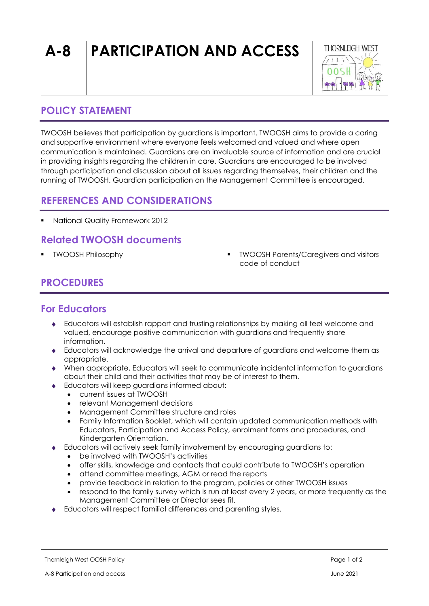# **A-8 PARTICIPATION AND ACCESS**



#### **POLICY STATEMENT**

TWOOSH believes that participation by guardians is important. TWOOSH aims to provide a caring and supportive environment where everyone feels welcomed and valued and where open communication is maintained. Guardians are an invaluable source of information and are crucial in providing insights regarding the children in care. Guardians are encouraged to be involved through participation and discussion about all issues regarding themselves, their children and the running of TWOOSH. Guardian participation on the Management Committee is encouraged.

#### **REFERENCES AND CONSIDERATIONS**

▪ National Quality Framework 2012

# **Related TWOOSH documents**

- 
- TWOOSH Philosophy TWOOSH Parents/Caregivers and visitors code of conduct

# **PROCEDURES**

## **For Educators**

- Educators will establish rapport and trusting relationships by making all feel welcome and valued, encourage positive communication with guardians and frequently share information.
- Educators will acknowledge the arrival and departure of guardians and welcome them as appropriate.
- When appropriate, Educators will seek to communicate incidental information to guardians about their child and their activities that may be of interest to them.
- Educators will keep guardians informed about:
	- current issues at TWOOSH
	- relevant Management decisions
	- Management Committee structure and roles
	- Family Information Booklet, which will contain updated communication methods with Educators, Participation and Access Policy, enrolment forms and procedures, and Kindergarten Orientation.
- Educators will actively seek family involvement by encouraging guardians to:
	- be involved with TWOOSH's activities
	- offer skills, knowledge and contacts that could contribute to TWOOSH's operation
	- attend committee meetings, AGM or read the reports
	- provide feedback in relation to the program, policies or other TWOOSH issues
	- respond to the family survey which is run at least every 2 years, or more frequently as the Management Committee or Director sees fit.
- Educators will respect familial differences and parenting styles.